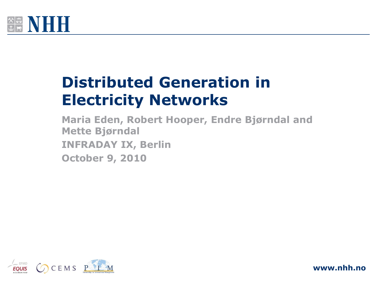

# **Distributed Generation in Electricity Networks**

**Maria Eden, Robert Hooper, Endre Bjørndal and Mette Bjørndal INFRADAY IX, Berlin October 9, 2010**



**www.nhh.no**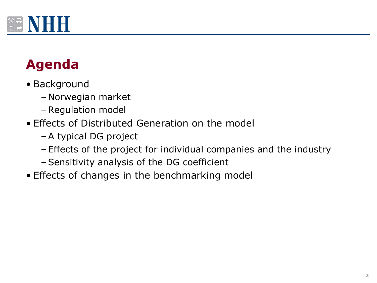

# **Agenda**

- Background
	- Norwegian market
	- Regulation model
- Effects of Distributed Generation on the model
	- A typical DG project
	- Effects of the project for individual companies and the industry
	- Sensitivity analysis of the DG coefficient
- Effects of changes in the benchmarking model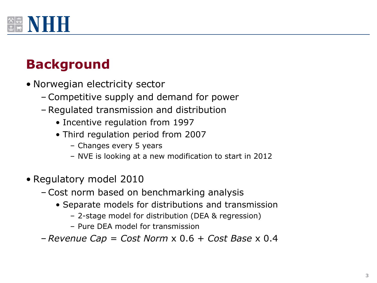

### **Background**

- Norwegian electricity sector
	- Competitive supply and demand for power
	- Regulated transmission and distribution
		- Incentive regulation from 1997
		- Third regulation period from 2007
			- Changes every 5 years
			- NVE is looking at a new modification to start in 2012
- Regulatory model 2010
	- Cost norm based on benchmarking analysis
		- Separate models for distributions and transmission
			- 2-stage model for distribution (DEA & regression)
			- Pure DEA model for transmission
	- *Revenue Cap* = *Cost Norm* x 0.6 + *Cost Base* x 0.4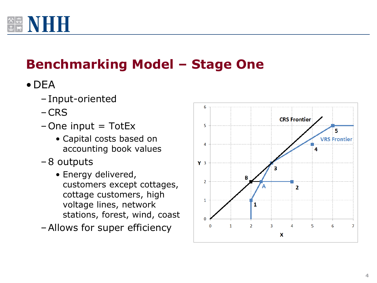

# **Benchmarking Model – Stage One**

- •DEA
	- –Input-oriented
	- –CRS
	- $-$ One input = TotEx
		- Capital costs based on accounting book values
	- –8 outputs
		- Energy delivered, customers except cottages, cottage customers, high voltage lines, network stations, forest, wind, coast
	- –Allows for super efficiency

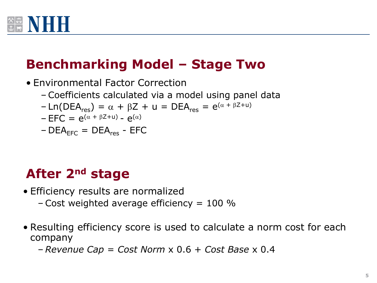

### **Benchmarking Model – Stage Two**

• Environmental Factor Correction – Coefficients calculated via a model using panel data  $-Ln(DEA<sub>res</sub>) = \alpha + \beta Z + u = DEA<sub>res</sub> = e^{(\alpha + \beta Z + u)}$  $-$  EFC =  $e^{(\alpha + \beta Z + u)} - e^{(\alpha)}$  $– DEA<sub>ေ</sub> = DEA<sub>res</sub> - EFC$ 

#### **After 2nd stage**

- Efficiency results are normalized
	- Cost weighted average efficiency  $= 100$  %
- Resulting efficiency score is used to calculate a norm cost for each company
	- *Revenue Cap* = *Cost Norm* x 0.6 + *Cost Base* x 0.4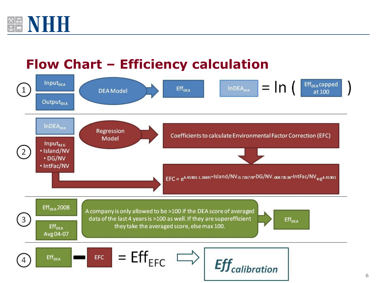

#### **Flow Chart – Efficiency calculation**



**6**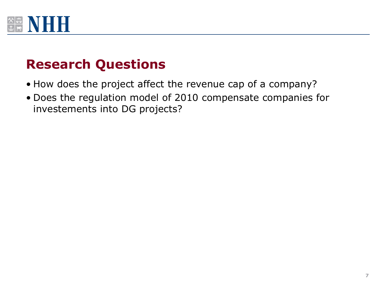

#### **Research Questions**

- How does the project affect the revenue cap of a company?
- Does the regulation model of 2010 compensate companies for investements into DG projects?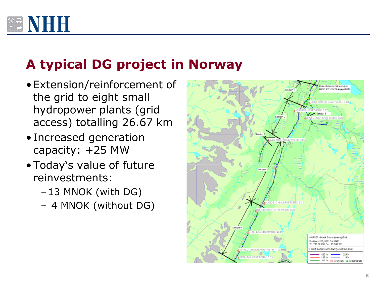

## **A typical DG project in Norway**

- •Extension/reinforcement of the grid to eight small hydropower plants (grid access) totalling 26.67 km
- Increased generation capacity: +25 MW
- •Today's value of future reinvestments:
	- –13 MNOK (with DG)
	- 4 MNOK (without DG)

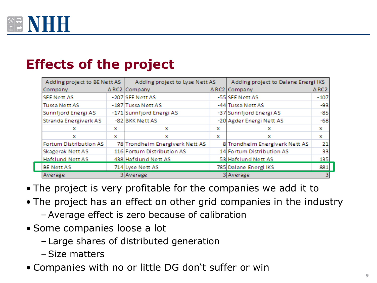

#### **Effects of the project**

| Adding project to BE Nett AS |   | Adding project to Lyse Nett AS  |   | Adding project to Dalane Energi IKS |              |
|------------------------------|---|---------------------------------|---|-------------------------------------|--------------|
| Company                      |   | $\triangle$ RC2 Company         |   | $\triangle$ RC2 Company             | $\Delta$ RC2 |
| <b>SFE Nett AS</b>           |   | -207 SFE Nett AS                |   | -55 SFE Nett AS                     | $-107$       |
| <b>Tussa Nett AS</b>         |   | -187 Tussa Nett AS              |   | -44 Tussa Nett AS                   | $-93$        |
| Sunnfjord Energi AS          |   | -171 Sunnfjord Energi AS        |   | -37 Sunnfjord Energi AS             | $-85$        |
| Stranda Energiverk AS        |   | -82 BKK Nett AS                 |   | -20 Agder Energi Nett AS            | $-68$        |
| x                            | × | x                               | × | x                                   | ×            |
| x                            | x | x                               | × | ×                                   | ×            |
| Fortum Distribution AS       |   | 78 Trondheim Energiverk Nett AS |   | 8 Trondheim Energiverk Nett AS      | 21           |
| Skagerak Nett AS             |   | 116 Fortum Distribution AS      |   | 14 Fortum Distribution AS           | 33           |
| <b>Hafslund Nett AS</b>      |   | 438 Hafslund Nett AS            |   | 53 Hafslund Nett AS                 | 135          |
| <b>BE Nett AS</b>            |   | 714 Lyse Nett AS                |   | 785 Dalane Energi IKS               | 881          |
| Average                      |   | 3 Average                       |   | 3 Average                           |              |

- The project is very profitable for the companies we add it to
- The project has an effect on other grid companies in the industry
	- Average effect is zero because of calibration
- Some companies loose a lot
	- Large shares of distributed generation
	- Size matters
- Companies with no or little DG don't suffer or win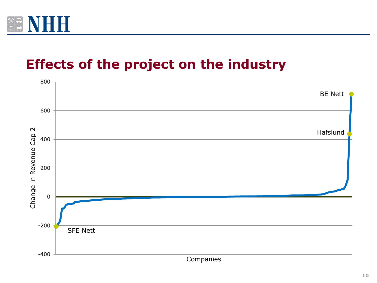

#### **Effects of the project on the industry**

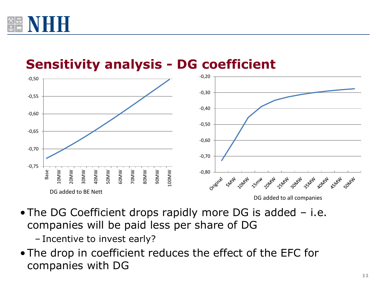



**Sensitivity analysis - DG coefficient**

•The DG Coefficient drops rapidly more DG is added – i.e. companies will be paid less per share of DG

– Incentive to invest early?

•The drop in coefficient reduces the effect of the EFC for companies with DG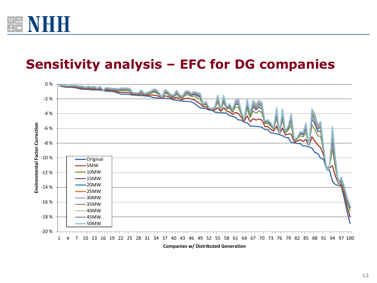

#### **Sensitivity analysis – EFC for DG companies**

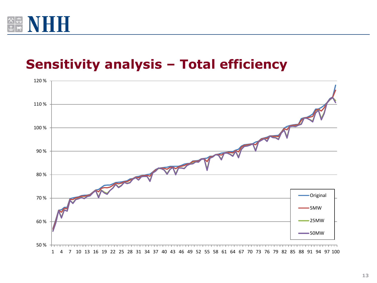

#### **Sensitivity analysis – Total efficiency**

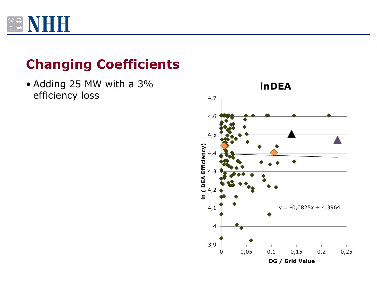

### **Changing Coefficients**

• Adding 25 MW with a 3% efficiency loss

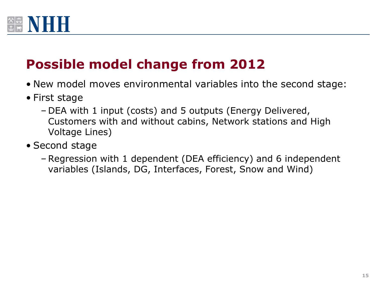

### **Possible model change from 2012**

- New model moves environmental variables into the second stage:
- First stage
	- DEA with 1 input (costs) and 5 outputs (Energy Delivered, Customers with and without cabins, Network stations and High Voltage Lines)
- Second stage
	- Regression with 1 dependent (DEA efficiency) and 6 independent variables (Islands, DG, Interfaces, Forest, Snow and Wind)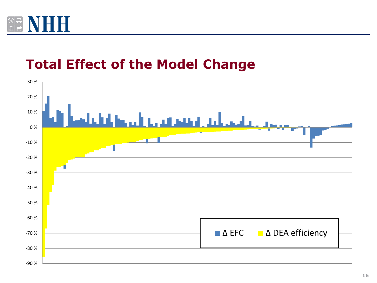

#### **Total Effect of the Model Change**

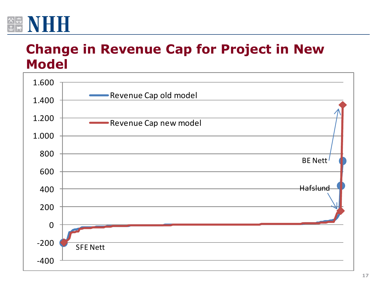

#### **Change in Revenue Cap for Project in New Model**

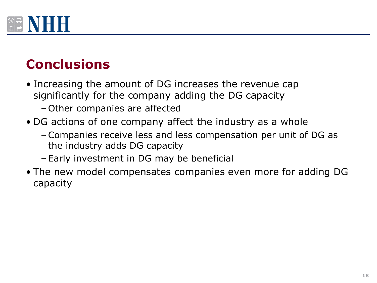

# **Conclusions**

- Increasing the amount of DG increases the revenue cap significantly for the company adding the DG capacity – Other companies are affected
- DG actions of one company affect the industry as a whole
	- Companies receive less and less compensation per unit of DG as the industry adds DG capacity
	- Early investment in DG may be beneficial
- The new model compensates companies even more for adding DG capacity